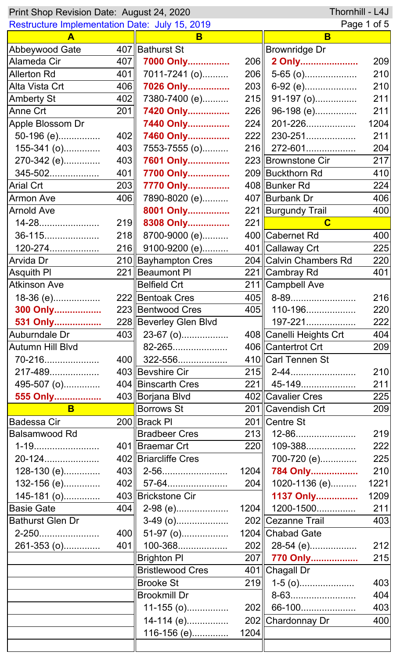| Thornhill - L4J<br>Print Shop Revision Date: August 24, 2020 |     |                           |      |                         |      |  |
|--------------------------------------------------------------|-----|---------------------------|------|-------------------------|------|--|
| <b>Restructure Implementation Date: July 15, 2019</b>        |     |                           |      | Page 1 of 5             |      |  |
| A                                                            |     | B                         |      | B                       |      |  |
| Abbeywood Gate                                               |     | 407   Bathurst St         |      | <b>Brownridge Dr</b>    |      |  |
| Alameda Cir                                                  | 407 | 7000 Only                 | 206  | 2 Only                  | 209  |  |
| <b>Allerton Rd</b>                                           | 401 | 7011-7241 (o)             | 206  | $5-65$ (o)              | 210  |  |
| Alta Vista Crt                                               | 406 | 7026 Only                 | 203  | 6-92 (e)                | 210  |  |
| <b>Amberty St</b>                                            | 402 | 7380-7400 (e)             | 215  | 91-197 (o)              | 211  |  |
| Anne Crt                                                     | 201 | 7420 Only                 | 226  | 96-198 (e)              | 211  |  |
| Apple Blossom Dr                                             |     | 7440 Only                 | 224  | 201-226                 | 1204 |  |
| 50-196 (e)                                                   | 402 | 7460 Only                 |      | 222 230-251             | 211  |  |
| $155-341$ (o)                                                | 403 | 7553-7555 (o)             |      | 216 272-601             | 204  |  |
| 270-342 (e)                                                  | 403 | 7601 Only                 |      | 223 Brownstone Cir      | 217  |  |
| 345-502                                                      | 401 | 7700 Only                 |      | 209 Buckthorn Rd        | 410  |  |
| <b>Arial Crt</b>                                             | 203 | 7770 Only                 |      | 408 Bunker Rd           | 224  |  |
| <b>Armon Ave</b>                                             | 406 | 7890-8020 (e)             |      | 407 Burbank Dr          | 406  |  |
| <b>Arnold Ave</b>                                            |     | 8001 Only                 |      | 221   Burgundy Trail    | 400  |  |
| 14-28                                                        | 219 | 8308 Only                 | 221  | $\mathbf C$             |      |  |
| 36-115                                                       | 218 | 8700-9000 (e)             |      | 400 Cabernet Rd         | 400  |  |
| 120-274                                                      | 216 | 9100-9200 (e)             |      | 401 Callaway Crt        | 225  |  |
| Arvida Dr                                                    |     | 210 Bayhampton Cres       |      | 204 Calvin Chambers Rd  | 220  |  |
| <b>Asquith PI</b>                                            |     | 221   Beaumont PI         |      | 221 Cambray Rd          | 401  |  |
| <b>Atkinson Ave</b>                                          |     | <b>Belfield Crt</b>       |      | 211 Campbell Ave        |      |  |
| 18-36 (e)                                                    |     | 222 Bentoak Cres          |      | $405$ 8-89              | 216  |  |
| 300 Only                                                     |     | 223 Bentwood Cres         |      | 405   110-196           | 220  |  |
| 531 Only                                                     |     | 228 Beverley Glen Blvd    |      | 197-221                 | 222  |  |
| Auburndale Dr                                                |     | 403 23-67 (o)             |      | 408 Canelli Heights Crt | 404  |  |
| <b>Autumn Hill Blvd</b>                                      |     | 82-265                    |      | 406 Cantertrot Crt      | 209  |  |
| 70-216                                                       |     | $400$    322-556          |      | 410 Carl Tennen St      |      |  |
| 217-489                                                      |     | 403 Bevshire Cir          |      |                         | 210  |  |
| 495-507 (o)                                                  |     | 404 Binscarth Cres        |      | 221   45-149            | 211  |  |
| 555 Only                                                     |     | 403 Borjana Blvd          |      | 402 Cavalier Cres       | 225  |  |
| B.                                                           |     | <b>Borrows St</b>         |      | 201 Cavendish Crt       | 209  |  |
| <b>Badessa Cir</b>                                           |     | 200 Brack PI              |      | 201 Centre St           |      |  |
| Balsamwood Rd                                                |     | <b>Bradbeer Cres</b>      |      | $213$   12-86           | 219  |  |
|                                                              |     | 401 Braemar Crt           | 220  | 109-388                 | 222  |  |
| 20-124                                                       |     | 402 Briarcliffe Cres      |      | 700-720 (e)             | 225  |  |
| 128-130 (e)                                                  |     |                           |      | 1204 784 Only           | 210  |  |
| 132-156 (e)                                                  |     | $402$   57-64             | 204  | 1020-1136 (e)           | 1221 |  |
| 145-181 (o)                                                  |     | 403 Brickstone Cir        |      | 1137 Only               | 1209 |  |
| <b>Basie Gate</b>                                            | 404 | 2-98 (e)                  |      | $1204$   1200-1500      | 211  |  |
| <b>Bathurst Glen Dr</b>                                      |     |                           |      | 202 Cezanne Trail       | 403  |  |
| 2-250                                                        |     | 400 $\parallel$ 51-97 (o) |      | 1204 Chabad Gate        |      |  |
| 261-353 (o)                                                  | 401 | 100-368                   |      | $202$    28-54 (e)      | 212  |  |
|                                                              |     | <b>Brighton PI</b>        |      | 207 770 Only            | 215  |  |
|                                                              |     | <b>Bristlewood Cres</b>   |      | 401 Chagall Dr          |      |  |
|                                                              |     | <b>Brooke St</b>          |      | $219$ 1-5 (o)           | 403  |  |
|                                                              |     | Brookmill Dr              |      | 8-63                    | 404  |  |
|                                                              |     | $11-155$ (o)              | 202  | 66-100                  | 403  |  |
|                                                              |     | 14-114 (e)                | 202  | Chardonnay Dr           | 400  |  |
|                                                              |     | 116-156 (e)               | 1204 |                         |      |  |
|                                                              |     |                           |      |                         |      |  |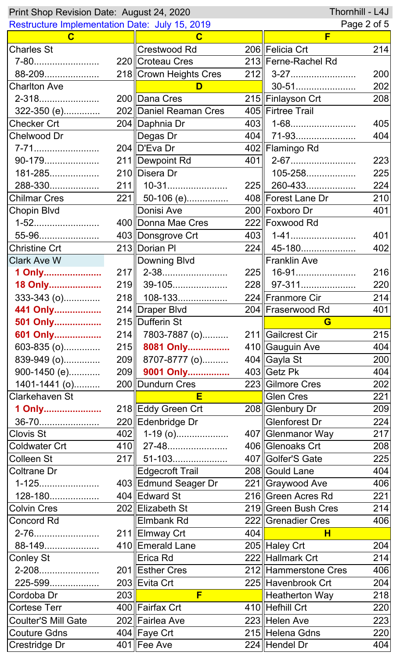| Thornhill - L4J<br>Print Shop Revision Date: August 24, 2020 |     |                        |     |                      |     |
|--------------------------------------------------------------|-----|------------------------|-----|----------------------|-----|
| <b>Restructure Implementation Date: July 15, 2019</b>        |     |                        |     | Page 2 of 5          |     |
| C                                                            |     | C                      |     | F                    |     |
| <b>Charles St</b>                                            |     | Crestwood Rd           |     | 206 Felicia Crt      | 214 |
| 7-80                                                         |     | 220 Croteau Cres       |     | 213 Ferne-Rachel Rd  |     |
| 88-209                                                       |     | 218 Crown Heights Cres |     |                      | 200 |
| <b>Charlton Ave</b>                                          |     | D                      |     | 30-51                | 202 |
| 2-318                                                        |     | 200 Dana Cres          |     | 215∥Finlayson Crt    | 208 |
| 322-350 (e)                                                  |     | 202 Daniel Reaman Cres |     | 405 Firtree Trail    |     |
| Checker Crt                                                  |     | 204 Daphnia Dr         |     |                      | 405 |
| Chelwood Dr                                                  |     | Degas Dr               |     | 404   71-93          | 404 |
| 7-71                                                         |     | 204 D'Eva Dr           |     | 402 Flamingo Rd      |     |
| 90-179                                                       |     | 211   Dewpoint Rd      |     |                      | 223 |
| 181-285                                                      |     | 210 Disera Dr          |     | 105-258              | 225 |
| 288-330                                                      |     | $211$    10-31         | 225 | 260-433              | 224 |
| Chilmar Cres                                                 |     | 221  50-106 (e)        |     | 408 Forest Lane Dr   | 210 |
| Chopin Blvd                                                  |     | Donisi Ave             |     | 200 Foxboro Dr       | 401 |
| 1-52                                                         |     | 400 Donna Mae Cres     |     | 222 Foxwood Rd       |     |
| 55-96                                                        |     | 403 Donsgrove Crt      |     |                      | 401 |
| <b>Christine Crt</b>                                         |     | 213 Dorian PI          |     | 224 45-180           | 402 |
| <b>Clark Ave W</b>                                           |     | Downing Blvd           |     | <b>Franklin Ave</b>  |     |
| 1 Only                                                       |     | 217   2-38             |     | 225   16-91          | 216 |
| 18 Only                                                      |     | 219 39-105             |     | 228    97-311        | 220 |
| 333-343 (o)                                                  |     | 218    108-133         |     | 224∥Franmore Cir     | 214 |
| 441 Only                                                     |     | 214 Draper Blvd        |     | 204 Fraserwood Rd    | 401 |
| 501 Only                                                     |     | 215 Dufferin St        |     | G                    |     |
| 601 Only                                                     |     | 214 7803-7887 (o)      |     | 211 Gailcrest Cir    | 215 |
| $603-835$ (o)                                                |     | 215 8081 Only          |     | 410 Gauguin Ave      | 404 |
| 839-949 (o)                                                  |     | 209 8707-8777 (o)      |     | 404 Gayla St         | 200 |
| 900-1450 (e)                                                 |     | 209 9001 Only          |     | $403$ Getz Pk        | 404 |
| 1401-1441 (o)                                                |     | 200 Dundurn Cres       |     | 223 Gilmore Cres     | 202 |
| <b>Clarkehaven St</b>                                        |     | E                      |     | <b>Glen Cres</b>     | 221 |
| 1 Only                                                       |     | 218 Eddy Green Crt     |     | 208 Glenbury Dr      | 209 |
| 36-70                                                        |     | 220 Edenbridge Dr      |     | Glenforest Dr        | 224 |
| <b>Clovis St</b>                                             |     | 402    1-19 (o)        |     | 407 Glenmanor Way    | 217 |
| <b>Coldwater Crt</b>                                         |     | 410  27-48             |     | 406 Glenoaks Crt     | 208 |
| <b>Colleen St</b>                                            |     | 217  51-103            |     | 407 Golfer's Gate    | 225 |
| <b>Coltrane Dr</b>                                           |     | <b>Edgecroft Trail</b> |     | 208 Gould Lane       | 404 |
| 1-125                                                        |     | 403 Edmund Seager Dr   |     | 221 Graywood Ave     | 406 |
| 128-180                                                      |     | 404 Edward St          |     | 216 Green Acres Rd   | 221 |
| <b>Colvin Cres</b>                                           |     | 202 Elizabeth St       |     | 219 Green Bush Cres  | 214 |
| <b>Concord Rd</b>                                            |     | <b>Elmbank Rd</b>      |     | 222 Grenadier Cres   | 406 |
| 2-76                                                         |     | 211 Elmway Crt         | 404 | H                    |     |
| 88-149                                                       |     | 410 Emerald Lane       |     | 205 Haley Crt        | 204 |
| <b>Conley St</b>                                             |     | Erica Rd               |     | 222 Hallmark Crt     | 214 |
| 2-208                                                        |     | 201 Esther Cres        |     | 212 Hammerstone Cres | 406 |
| 225-599                                                      |     | 203 Evita Crt          |     | 225 Havenbrook Crt   | 204 |
| Cordoba Dr                                                   | 203 | F                      |     | Heatherton Way       | 218 |
| <b>Cortese Terr</b>                                          |     | 400 Fairfax Crt        |     | 410 Hefhill Crt      | 220 |
| <b>Coulter'S Mill Gate</b>                                   |     | 202 Fairlea Ave        |     | 223 Helen Ave        | 223 |
| <b>Couture Gdns</b>                                          |     | 404 Faye Crt           |     | 215 Helena Gdns      | 220 |
| Crestridge Dr                                                |     | $401$ Fee Ave          |     | 224 Hendel Dr        | 404 |
|                                                              |     |                        |     |                      |     |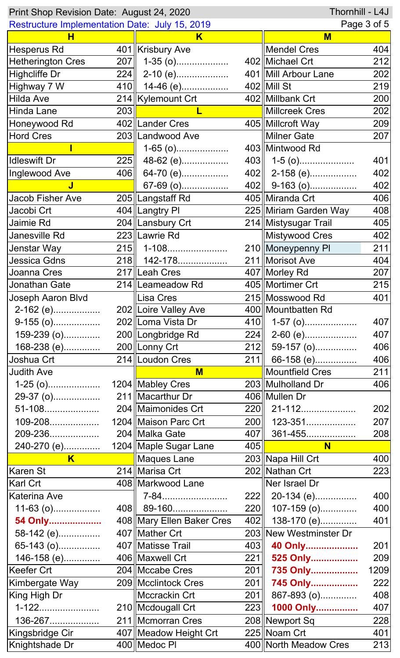| Thornhill - L4J<br>Print Shop Revision Date: August 24, 2020 |     |                             |                  |                        |      |
|--------------------------------------------------------------|-----|-----------------------------|------------------|------------------------|------|
| Restructure Implementation Date: July 15, 2019               |     |                             | Page 3 of 5      |                        |      |
| н                                                            |     | Κ                           |                  | M                      |      |
| Hesperus Rd                                                  |     | 401   Krisbury Ave          |                  | <b>Mendel Cres</b>     | 404  |
| <b>Hetherington Cres</b>                                     | 207 | $1-35$ (o)                  |                  | 402 Michael Crt        | 212  |
| Highcliffe Dr                                                |     | $224$   2-10 (e)            |                  | 401   Mill Arbour Lane | 202  |
| Highway 7 W                                                  | 410 | $14-46$ (e)                 |                  | $402$ Mill St          | 219  |
| Hilda Ave                                                    |     | 214  Kylemount Crt          |                  | 402 Millbank Crt       | 200  |
| Hinda Lane                                                   | 203 |                             |                  | Millcreek Cres         | 202  |
| Honeywood Rd                                                 |     | 402 Lander Cres             |                  | 405 Millcroft Way      | 209  |
| Hord Cres                                                    |     | 203 Landwood Ave            |                  | <b>Milner Gate</b>     | 207  |
|                                                              |     | $1-65$ (o)                  |                  | 403 Mintwood Rd        |      |
| <b>Idleswift Dr</b>                                          | 225 | 48-62 (e)                   |                  | $403$   1-5 (o)        | 401  |
| Inglewood Ave                                                | 406 | 64-70 (e)                   |                  | $402$   2-158 (e)      | 402  |
| J                                                            |     | 67-69 (o)                   |                  | $402$ 9-163 (o)        | 402  |
| Jacob Fisher Ave                                             |     | 205 Langstaff Rd            |                  | 405 Miranda Crt        | 406  |
| Jacobi Crt                                                   |     | 404   Langtry PI            |                  | 225 Miriam Garden Way  | 408  |
| Jaimie Rd                                                    |     | 204 Lansbury Crt            |                  | 214   Mistysugar Trail | 405  |
| Janesville Rd                                                |     | 223 Lawrie Rd               |                  | Mistywood Cres         | 402  |
| Jenstar Way                                                  | 215 | 1-108                       |                  | 210 Moneypenny PI      | 211  |
| Jessica Gdns                                                 | 218 | 142-178                     |                  | 211 Morisot Ave        | 404  |
| Joanna Cres                                                  |     | 217 Leah Cres               |                  | 407   Morley Rd        | 207  |
| Jonathan Gate                                                |     | 214   Leameadow Rd          |                  | 405   Mortimer Crt     | 215  |
| Joseph Aaron Blvd                                            |     | Lisa Cres                   |                  | 215 Mosswood Rd        | 401  |
| 2-162 (e)                                                    |     | 202 Loire Valley Ave        |                  | 400   Mountbatten Rd   |      |
| $9-155$ (o)                                                  |     | 202 Loma Vista Dr           |                  | 410   1-57 (o)         | 407  |
| 159-239 (o)                                                  |     | 200 Longbridge Rd           | 224              | 2-60 (e)               | 407  |
| 168-238 (e)                                                  |     | 200 Lonny Crt               |                  | $212$   59-157 (o)     | 406  |
| Joshua Crt                                                   |     | 214   Loudon Cres           | 211              | 66-158 (e)             | 406  |
| <b>Judith Ave</b>                                            |     | $M$                         |                  | Mountfield Cres        | 211  |
| $1-25$ (o)                                                   |     | 1204 Mabley Cres            |                  | 203 Mulholland Dr      | 406  |
| 29-37 (o)                                                    |     | 211   Macarthur Dr          |                  | 406 Mullen Dr          |      |
| 51-108                                                       |     | 204   Maimonides Crt        |                  | 220   21-112           | 202  |
| 109-208                                                      |     | 1204 Maison Parc Crt        |                  | 200    123-351         | 207  |
| 209-236                                                      |     | 204 Malka Gate              | 407              | 361-455                | 208  |
| 240-270 (e)                                                  |     | 1204   Maple Sugar Lane     | 405              | N <sub>1</sub>         |      |
| $\overline{\mathsf{K}}$                                      |     | Maques Lane                 |                  | 203 Napa Hill Crt      | 400  |
| Karen St                                                     |     | 214   Marisa Crt            |                  | 202 Nathan Crt         | 223  |
| Karl Crt                                                     |     | 408   Markwood Lane         |                  | Ner Israel Dr          |      |
| Katerina Ave                                                 |     | 7-84                        |                  | 222 20-134 (e)         | 400  |
| $11-63$ (o)                                                  |     | 408   89-160                | 220              | $107-159$ (o)          | 400  |
| 54 Only                                                      |     | 408   Mary Ellen Baker Cres | 402              | 138-170 (e)            | 401  |
| 58-142 (e)                                                   |     | 407   Mather Crt            |                  | 203 New Westminster Dr |      |
| 65-143 (o)                                                   |     | 407 Matisse Trail           | 403              | 40 Only                | 201  |
| 146-158 (e)                                                  |     | 406 Maxwell Crt             | 221              | 525 Only               | 209  |
| Keefer Crt                                                   |     | 204   Mccabe Cres           | 201              | 735 Only               | 1209 |
| Kimbergate Way                                               |     | 209   Mcclintock Cres       | 201              | 745 Only               | 222  |
| King High Dr                                                 |     | Mccrackin Crt               | $\overline{201}$ | 867-893 (o)            | 408  |
| $1 - 122.$                                                   |     | 210   Mcdougall Crt         | 223              | 1000 Only              | 407  |
| 136-267                                                      |     | 211  Mcmorran Cres          |                  | 208 Newport Sq         | 228  |
| Kingsbridge Cir                                              |     | 407   Meadow Height Crt     |                  | 225 Noam Crt           | 401  |
| Knightshade Dr                                               |     | 400 Medoc PI                |                  | 400 North Meadow Cres  | 213  |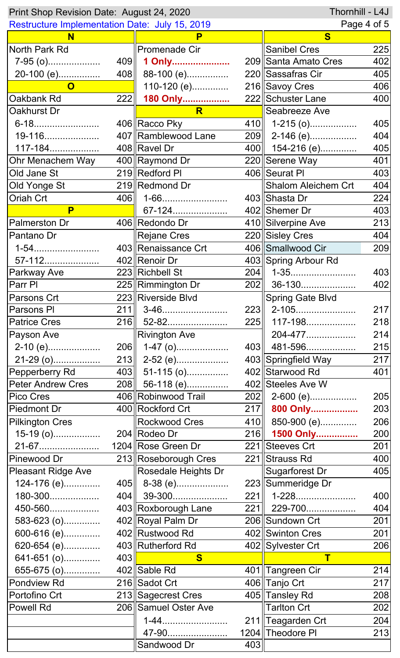| Thornhill - L4J<br>Print Shop Revision Date: August 24, 2020 |            |                      |      |                            |     |  |
|--------------------------------------------------------------|------------|----------------------|------|----------------------------|-----|--|
| <b>Restructure Implementation Date: July 15, 2019</b>        |            |                      |      | Page 4 of 5                |     |  |
| N                                                            |            | P                    |      | $\overline{\mathbf{s}}$    |     |  |
| North Park Rd                                                |            | <b>Promenade Cir</b> |      | <b>Sanibel Cres</b>        | 225 |  |
| $7-95$ (o)                                                   | 409        | 1 Only               |      | 209 Santa Amato Cres       | 402 |  |
| 20-100 (e)                                                   |            | 408 88-100 (e)       |      | 220 Sassafras Cir          | 405 |  |
| $\mathbf{O}$                                                 |            | 110-120 (e)          |      | 216 Savoy Cres             | 406 |  |
| Oakbank Rd                                                   | <b>222</b> | 180 Only             |      | 222 Schuster Lane          | 400 |  |
| Oakhurst Dr                                                  |            | R                    |      | Seabreeze Ave              |     |  |
| 6-18                                                         |            | 406 Racco Pky        |      | $410$   1-215 (o)          | 405 |  |
| 19-116                                                       |            | 407 Ramblewood Lane  |      | 209 2-146 (e)              | 404 |  |
| 117-184                                                      |            | 408 Ravel Dr         |      | 400   154-216 (e)          | 405 |  |
| Ohr Menachem Way                                             |            | 400 Raymond Dr       |      | 220 Serene Way             | 401 |  |
| Old Jane St                                                  |            | 219 Redford PI       |      | 406 Seurat PI              | 403 |  |
| Old Yonge St                                                 |            | 219 Redmond Dr       |      | <b>Shalom Aleichem Crt</b> | 404 |  |
| Oriah Crt                                                    | 406        | 1-66                 |      | 403 Shasta Dr              | 224 |  |
| P                                                            |            | 67-124               |      | 402 Shemer Dr              | 403 |  |
| <b>Palmerston Dr</b>                                         |            | 406  Redondo Dr      |      | 410 Silverpine Ave         | 213 |  |
| Pantano Dr                                                   |            | <b>Rejane Cres</b>   |      | 220 Sisley Cres            | 404 |  |
| $1 - 54$                                                     |            | 403 Renaissance Crt  |      | 406 Smallwood Cir          | 209 |  |
| 57-112                                                       |            | 402 Renoir Dr        |      | 403 Spring Arbour Rd       |     |  |
| Parkway Ave                                                  |            | 223 Richbell St      | 204  | 1-35                       | 403 |  |
| Parr PI                                                      |            | 225 Rimmington Dr    | 202  | 36-130                     | 402 |  |
| Parsons Crt                                                  |            | 223 Riverside Blvd   |      | <b>Spring Gate Blvd</b>    |     |  |
| Parsons PI                                                   | 211        | 3-46                 | 223  | 2-105                      | 217 |  |
| <b>Patrice Cres</b>                                          |            | 216    52-82         | 225  | 117-198                    | 218 |  |
| Payson Ave                                                   |            | <b>Rivington Ave</b> |      | 204-477                    | 214 |  |
| $2-10$ (e)                                                   | 206        | $1-47$ (o)           | 403∥ | 481-596                    | 215 |  |
| 21-29 (o)                                                    |            | 213 2-52 (e)         |      | 403 Springfield Way        | 217 |  |
| Pepperberry Rd                                               |            | 403 51-115 (o)       |      | 402 Starwood Rd            | 401 |  |
| <b>Peter Andrew Cres</b>                                     |            | 208 56-118 (e)       |      | 402 Steeles Ave W          |     |  |
| Pico Cres                                                    |            | 406 Robinwood Trail  |      | 202 2-600 (e)              | 205 |  |
| <b>Piedmont Dr</b>                                           |            | 400 Rockford Crt     |      | 217 800 Only               | 203 |  |
| <b>Pilkington Cres</b>                                       |            | Rockwood Cres        |      | 410 850-900 (e)            | 206 |  |
| 15-19 (o)                                                    |            | 204 Rodeo Dr         |      | 216 1500 Only              | 200 |  |
| 21-67                                                        |            | 1204 Rose Green Dr   |      | 221 Steeves Crt            | 201 |  |
| Pinewood Dr                                                  |            | 213 Roseborough Cres |      | 221 Strauss Rd             | 400 |  |
| <b>Pleasant Ridge Ave</b>                                    |            | Rosedale Heights Dr  |      | Sugarforest Dr             | 405 |  |
| 124-176 (e)                                                  |            | $405$   8-38 (e)     |      | 223 Summeridge Dr          |     |  |
| 180-300                                                      |            | 404    39-300        | 221  | 1-228                      | 400 |  |
| 450-560                                                      |            | 403 Roxborough Lane  |      | 221   229-700              | 404 |  |
| 583-623 (o)                                                  |            | 402 Royal Palm Dr    |      | 206 Sundown Crt            | 201 |  |
| 600-616 (e)                                                  |            | 402 Rustwood Rd      |      | 402 Swinton Cres           | 201 |  |
| 620-654 (e)                                                  |            | 403 Rutherford Rd    |      | 402 Sylvester Crt          | 206 |  |
| 641-651 (o)                                                  | 403        | $\mathbf{s}$         |      | $\mathbf T$                |     |  |
| 655-675 (o)                                                  |            | 402 Sable Rd         |      | 401 Tangreen Cir           | 214 |  |
| Pondview Rd                                                  |            | 216 Sadot Crt        |      | 406 Tanjo Crt              | 217 |  |
| Portofino Crt                                                |            | 213 Sagecrest Cres   |      | 405  Tansley Rd            | 208 |  |
| <b>Powell Rd</b>                                             |            | 206 Samuel Oster Ave |      | <b>Tarlton Crt</b>         | 202 |  |
|                                                              |            | $1 - 44$             |      | 211 Teagarden Crt          | 204 |  |
|                                                              |            | 47-90                |      | 1204 Theodore PI           | 213 |  |
|                                                              |            | Sandwood Dr          | 403  |                            |     |  |